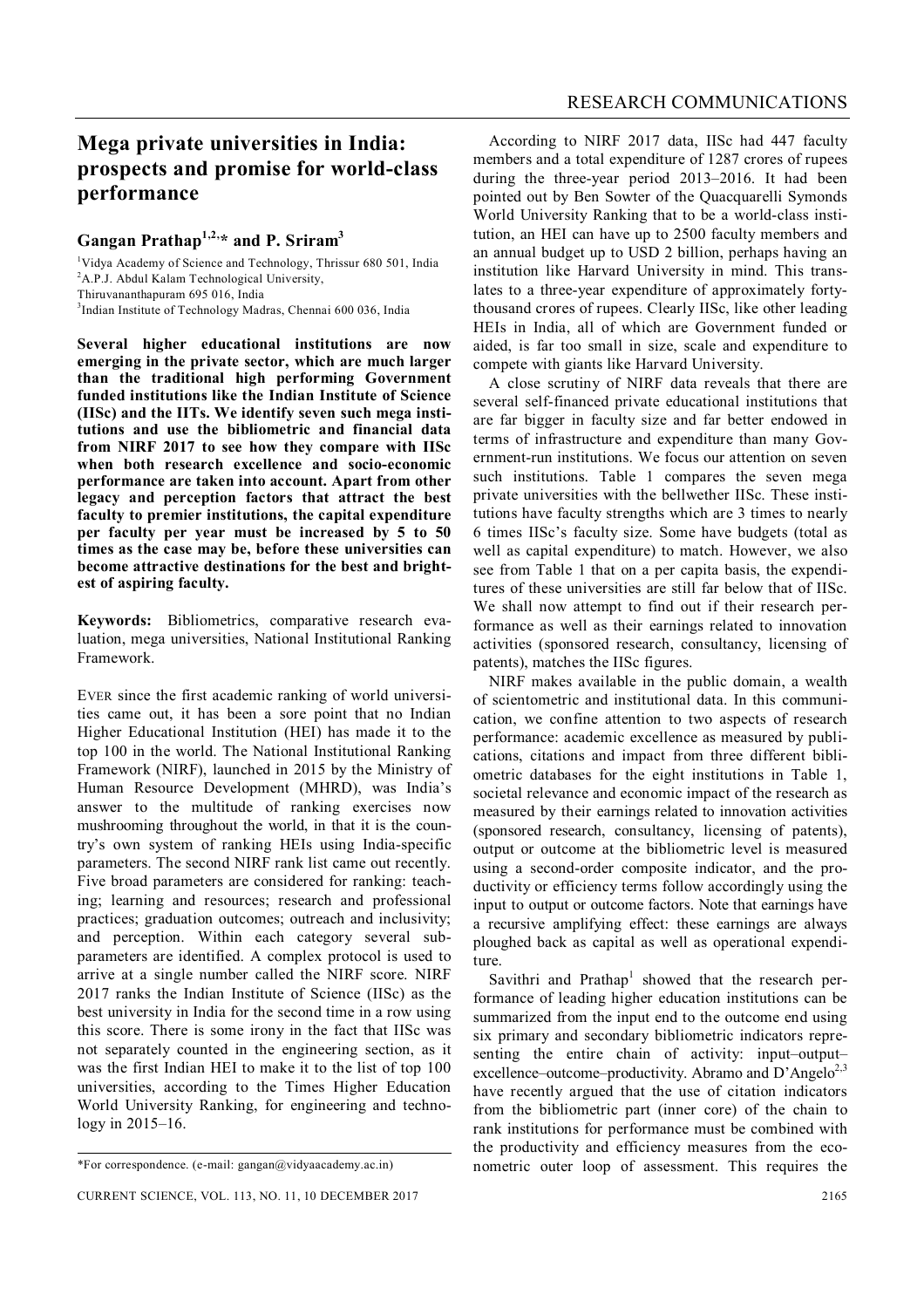## **Mega private universities in India: prospects and promise for world-class performance**

## **Gangan Prathap1,2, \* and P. Sriram<sup>3</sup>**

<sup>1</sup>Vidya Academy of Science and Technology, Thrissur 680 501, India <sup>2</sup>A.P.J. Abdul Kalam Technological University,

Thiruvananthapuram 695 016, India

3 Indian Institute of Technology Madras, Chennai 600 036, India

**Several higher educational institutions are now emerging in the private sector, which are much larger than the traditional high performing Government funded institutions like the Indian Institute of Science (IISc) and the IITs. We identify seven such mega institutions and use the bibliometric and financial data from NIRF 2017 to see how they compare with IISc when both research excellence and socio-economic performance are taken into account. Apart from other legacy and perception factors that attract the best faculty to premier institutions, the capital expenditure per faculty per year must be increased by 5 to 50 times as the case may be, before these universities can become attractive destinations for the best and brightest of aspiring faculty.**

**Keywords:** Bibliometrics, comparative research evaluation, mega universities, National Institutional Ranking Framework.

EVER since the first academic ranking of world universities came out, it has been a sore point that no Indian Higher Educational Institution (HEI) has made it to the top 100 in the world. The National Institutional Ranking Framework (NIRF), launched in 2015 by the Ministry of Human Resource Development (MHRD), was India's answer to the multitude of ranking exercises now mushrooming throughout the world, in that it is the country's own system of ranking HEIs using India-specific parameters. The second NIRF rank list came out recently. Five broad parameters are considered for ranking: teaching; learning and resources; research and professional practices; graduation outcomes; outreach and inclusivity; and perception. Within each category several subparameters are identified. A complex protocol is used to arrive at a single number called the NIRF score. NIRF 2017 ranks the Indian Institute of Science (IISc) as the best university in India for the second time in a row using this score. There is some irony in the fact that IISc was not separately counted in the engineering section, as it was the first Indian HEI to make it to the list of top 100 universities, according to the Times Higher Education World University Ranking, for engineering and technology in 2015–16.

According to NIRF 2017 data, IISc had 447 faculty members and a total expenditure of 1287 crores of rupees during the three-year period 2013–2016. It had been pointed out by Ben Sowter of the Quacquarelli Symonds World University Ranking that to be a world-class institution, an HEI can have up to 2500 faculty members and an annual budget up to USD 2 billion, perhaps having an institution like Harvard University in mind. This translates to a three-year expenditure of approximately fortythousand crores of rupees. Clearly IISc, like other leading HEIs in India, all of which are Government funded or aided, is far too small in size, scale and expenditure to compete with giants like Harvard University.

A close scrutiny of NIRF data reveals that there are several self-financed private educational institutions that are far bigger in faculty size and far better endowed in terms of infrastructure and expenditure than many Government-run institutions. We focus our attention on seven such institutions. Table 1 compares the seven mega private universities with the bellwether IISc. These institutions have faculty strengths which are 3 times to nearly 6 times IISc's faculty size. Some have budgets (total as well as capital expenditure) to match. However, we also see from Table 1 that on a per capita basis, the expenditures of these universities are still far below that of IISc. We shall now attempt to find out if their research performance as well as their earnings related to innovation activities (sponsored research, consultancy, licensing of patents), matches the IISc figures.

NIRF makes available in the public domain, a wealth of scientometric and institutional data. In this communication, we confine attention to two aspects of research performance: academic excellence as measured by publications, citations and impact from three different bibliometric databases for the eight institutions in Table 1, societal relevance and economic impact of the research as measured by their earnings related to innovation activities (sponsored research, consultancy, licensing of patents), output or outcome at the bibliometric level is measured using a second-order composite indicator, and the productivity or efficiency terms follow accordingly using the input to output or outcome factors. Note that earnings have a recursive amplifying effect: these earnings are always ploughed back as capital as well as operational expenditure.

Savithri and Prathap<sup>1</sup> showed that the research performance of leading higher education institutions can be summarized from the input end to the outcome end using six primary and secondary bibliometric indicators representing the entire chain of activity: input–output– excellence–outcome–productivity. Abramo and  $D'Angelo^{2,3}$ have recently argued that the use of citation indicators from the bibliometric part (inner core) of the chain to rank institutions for performance must be combined with the productivity and efficiency measures from the econometric outer loop of assessment. This requires the

<sup>\*</sup>For correspondence. (e-mail: gangan@vidyaacademy.ac.in)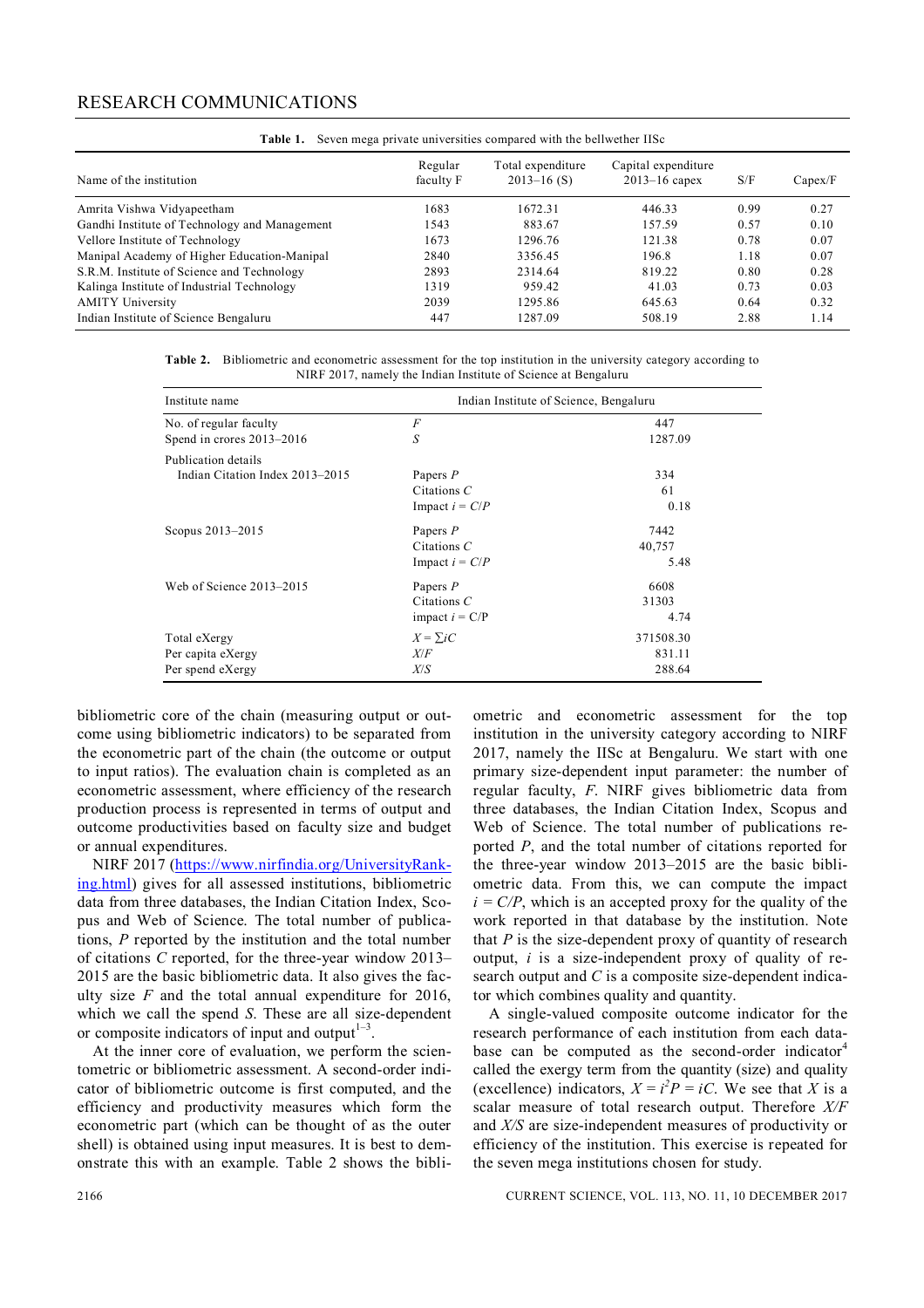## RESEARCH COMMUNICATIONS

| Those II Coven mogu private and enclose compared with the contribution flow |                      |                                      |                                        |      |         |  |  |  |
|-----------------------------------------------------------------------------|----------------------|--------------------------------------|----------------------------------------|------|---------|--|--|--|
| Name of the institution                                                     | Regular<br>faculty F | Total expenditure<br>$2013 - 16$ (S) | Capital expenditure<br>$2013-16$ capex | S/F  | Capex/F |  |  |  |
| Amrita Vishwa Vidyapeetham                                                  | 1683                 | 1672.31                              | 446.33                                 | 0.99 | 0.27    |  |  |  |
| Gandhi Institute of Technology and Management                               | 1543                 | 883.67                               | 157.59                                 | 0.57 | 0.10    |  |  |  |
| Vellore Institute of Technology                                             | 1673                 | 1296.76                              | 121.38                                 | 0.78 | 0.07    |  |  |  |
| Manipal Academy of Higher Education-Manipal                                 | 2840                 | 3356.45                              | 196.8                                  | 1.18 | 0.07    |  |  |  |
| S.R.M. Institute of Science and Technology                                  | 2893                 | 2314.64                              | 819.22                                 | 0.80 | 0.28    |  |  |  |
| Kalinga Institute of Industrial Technology                                  | 1319                 | 959.42                               | 41.03                                  | 0.73 | 0.03    |  |  |  |
| <b>AMITY University</b>                                                     | 2039                 | 1295.86                              | 645.63                                 | 0.64 | 0.32    |  |  |  |
| Indian Institute of Science Bengaluru                                       | 447                  | 1287.09                              | 508.19                                 | 2.88 | 1.14    |  |  |  |

**Table 1.** Seven mega private universities compared with the bellwether IISc

**Table 2.** Bibliometric and econometric assessment for the top institution in the university category according to NIRF 2017, namely the Indian Institute of Science at Bengaluru

| Institute name                  | Indian Institute of Science, Bengaluru |           |  |  |
|---------------------------------|----------------------------------------|-----------|--|--|
| No. of regular faculty          | F                                      | 447       |  |  |
| Spend in crores 2013-2016       | $\boldsymbol{S}$                       | 1287.09   |  |  |
| Publication details             |                                        |           |  |  |
| Indian Citation Index 2013–2015 | Papers $P$                             | 334       |  |  |
|                                 | Citations $C$                          | 61        |  |  |
|                                 | Impact $i = C/P$                       | 0.18      |  |  |
| Scopus 2013–2015                | Papers $P$                             | 7442      |  |  |
|                                 | Citations $C$                          | 40,757    |  |  |
|                                 | Impact $i = C/P$                       | 5.48      |  |  |
| Web of Science 2013–2015        | Papers P                               | 6608      |  |  |
|                                 | Citations $C$                          | 31303     |  |  |
|                                 | impact $i = C/P$                       | 4.74      |  |  |
| Total eXergy                    | $X = \sum iC$                          | 371508.30 |  |  |
| Per capita eXergy               | X/F                                    | 831.11    |  |  |
| Per spend eXergy                | X/S                                    | 288.64    |  |  |

bibliometric core of the chain (measuring output or outcome using bibliometric indicators) to be separated from the econometric part of the chain (the outcome or output to input ratios). The evaluation chain is completed as an econometric assessment, where efficiency of the research production process is represented in terms of output and outcome productivities based on faculty size and budget or annual expenditures.

NIRF 2017 (https://www.nirfindia.org/UniversityRanking.html) gives for all assessed institutions, bibliometric data from three databases, the Indian Citation Index, Scopus and Web of Science. The total number of publications, *P* reported by the institution and the total number of citations *C* reported, for the three-year window 2013– 2015 are the basic bibliometric data. It also gives the faculty size *F* and the total annual expenditure for 2016, which we call the spend *S*. These are all size-dependent or composite indicators of input and output $1-3$ .

At the inner core of evaluation, we perform the scientometric or bibliometric assessment. A second-order indicator of bibliometric outcome is first computed, and the efficiency and productivity measures which form the econometric part (which can be thought of as the outer shell) is obtained using input measures. It is best to demonstrate this with an example. Table 2 shows the bibli-

ometric and econometric assessment for the top institution in the university category according to NIRF 2017, namely the IISc at Bengaluru. We start with one primary size-dependent input parameter: the number of regular faculty, *F*. NIRF gives bibliometric data from three databases, the Indian Citation Index, Scopus and Web of Science. The total number of publications reported *P*, and the total number of citations reported for the three-year window 2013–2015 are the basic bibliometric data. From this, we can compute the impact  $i = C/P$ , which is an accepted proxy for the quality of the work reported in that database by the institution. Note that *P* is the size-dependent proxy of quantity of research output, *i* is a size-independent proxy of quality of research output and *C* is a composite size-dependent indicator which combines quality and quantity.

A single-valued composite outcome indicator for the research performance of each institution from each database can be computed as the second-order indicator<sup>4</sup> called the exergy term from the quantity (size) and quality (excellence) indicators,  $X = i^2 P = iC$ . We see that *X* is a scalar measure of total research output. Therefore *X/F* and *X/S* are size-independent measures of productivity or efficiency of the institution. This exercise is repeated for the seven mega institutions chosen for study.